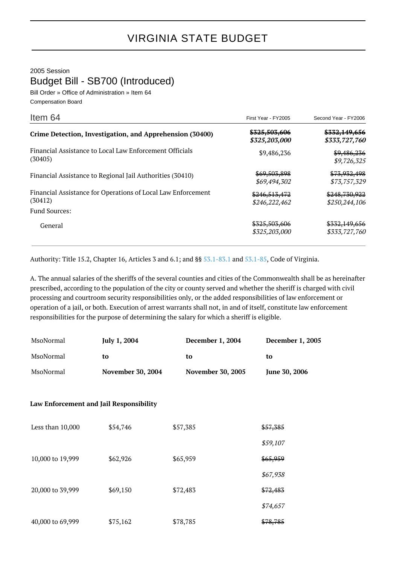2005 Session

Budget Bill - SB700 (Introduced)

Bill Order » Office of Administration » Item 64 Compensation Board

| Item 64                                                                 | First Year - FY2005                       | Second Year - FY2006                    |
|-------------------------------------------------------------------------|-------------------------------------------|-----------------------------------------|
| Crime Detection, Investigation, and Apprehension (30400)                | <del>\$325.503.606</del><br>\$325,203,000 | \$332,149,656<br>\$333,727,760          |
| Financial Assistance to Local Law Enforcement Officials<br>(30405)      | \$9,486,236                               | \$9,486,236<br>\$9,726,325              |
| Financial Assistance to Regional Jail Authorities (30410)               | \$69,503,898<br>\$69,494,302              | <del>\$73,932,498</del><br>\$73,757,329 |
| Financial Assistance for Operations of Local Law Enforcement<br>(30412) | \$246,513,472<br>\$246,222,462            | \$248,730,922<br>\$250,244,106          |
| <b>Fund Sources:</b>                                                    |                                           |                                         |
| General                                                                 | \$325,503,606<br>\$325,203,000            | \$332,149,656<br>\$333,727,760          |

Authority: Title 15.2, Chapter 16, Articles 3 and 6.1; and §§ [53.1-83.1](http://law.lis.virginia.gov/vacode/53.1-83.1/) and [53.1-85,](http://law.lis.virginia.gov/vacode/53.1-85/) Code of Virginia.

A. The annual salaries of the sheriffs of the several counties and cities of the Commonwealth shall be as hereinafter prescribed, according to the population of the city or county served and whether the sheriff is charged with civil processing and courtroom security responsibilities only, or the added responsibilities of law enforcement or operation of a jail, or both. Execution of arrest warrants shall not, in and of itself, constitute law enforcement responsibilities for the purpose of determining the salary for which a sheriff is eligible.

| MsoNormal        | July 1, 2004                            | December 1, 2004         | December 1, 2005 |
|------------------|-----------------------------------------|--------------------------|------------------|
| MsoNormal        | to                                      | to                       | to               |
| MsoNormal        | <b>November 30, 2004</b>                | <b>November 30, 2005</b> | June 30, 2006    |
|                  |                                         |                          |                  |
|                  | Law Enforcement and Jail Responsibility |                          |                  |
| Less than 10,000 | \$54,746                                | \$57,385                 | \$57,385         |
|                  |                                         |                          | \$59,107         |
| 10,000 to 19,999 | \$62,926                                | \$65,959                 | \$65,959         |
|                  |                                         |                          | \$67,938         |
| 20,000 to 39,999 | \$69,150                                | \$72,483                 | \$72,483         |
|                  |                                         |                          | \$74,657         |
| 40,000 to 69,999 | \$75,162                                | \$78,785                 | \$78,785         |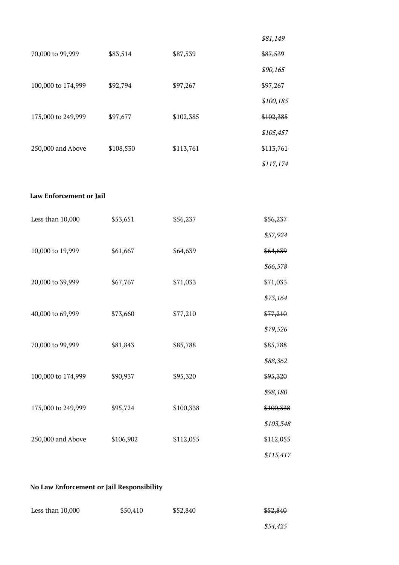|                    |           |           | \$81,149  |
|--------------------|-----------|-----------|-----------|
| 70,000 to 99,999   | \$83,514  | \$87,539  | \$87,539  |
|                    |           |           | \$90,165  |
| 100,000 to 174,999 | \$92,794  | \$97,267  | \$97,267  |
|                    |           |           | \$100,185 |
| 175,000 to 249,999 | \$97,677  | \$102,385 | \$102,385 |
|                    |           |           | \$105,457 |
| 250,000 and Above  | \$108,530 | \$113,761 | \$113,761 |
|                    |           |           | \$117,174 |

## **Law Enforcement or Jail**

| Less than 10,000   | \$53,651  | \$56,237  | \$56,237  |
|--------------------|-----------|-----------|-----------|
|                    |           |           | \$57,924  |
| 10,000 to 19,999   | \$61,667  | \$64,639  | \$64,639  |
|                    |           |           | \$66,578  |
| 20,000 to 39,999   | \$67,767  | \$71,033  | \$71,033  |
|                    |           |           | \$73,164  |
| 40,000 to 69,999   | \$73,660  | \$77,210  | \$77,210  |
|                    |           |           | \$79,526  |
| 70,000 to 99,999   | \$81,843  | \$85,788  | \$85,788  |
|                    |           |           | \$88,362  |
| 100,000 to 174,999 | \$90,937  | \$95,320  | \$95,320  |
|                    |           |           | \$98,180  |
| 175,000 to 249,999 | \$95,724  | \$100,338 | \$100,338 |
|                    |           |           | \$103,348 |
| 250,000 and Above  | \$106,902 | \$112,055 | \$112,055 |
|                    |           |           | \$115,417 |

## **No Law Enforcement or Jail Responsibility**

| Less than $10,000$ | \$50,410 | \$52,840 | \$52,840 |
|--------------------|----------|----------|----------|
|                    |          |          |          |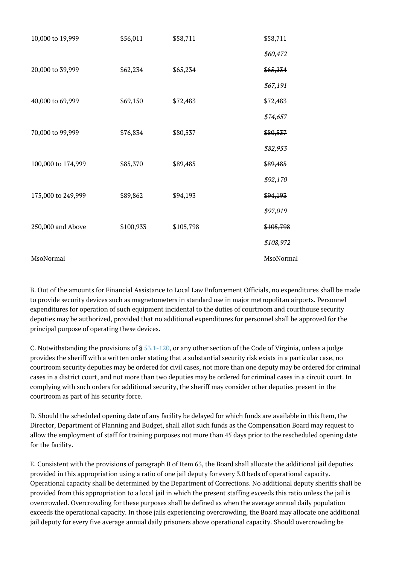| 10,000 to 19,999   | \$56,011  | \$58,711  | \$58,711  |
|--------------------|-----------|-----------|-----------|
|                    |           |           | \$60,472  |
| 20,000 to 39,999   | \$62,234  | \$65,234  | \$65,234  |
|                    |           |           | \$67,191  |
| 40,000 to 69,999   | \$69,150  | \$72,483  | \$72,483  |
|                    |           |           | \$74,657  |
| 70,000 to 99,999   | \$76,834  | \$80,537  | \$80,537  |
|                    |           |           | \$82,953  |
| 100,000 to 174,999 | \$85,370  | \$89,485  | \$89,485  |
|                    |           |           | \$92,170  |
| 175,000 to 249,999 | \$89,862  | \$94,193  | \$94,193  |
|                    |           |           | \$97,019  |
| 250,000 and Above  | \$100,933 | \$105,798 | \$105,798 |
|                    |           |           | \$108,972 |
| MsoNormal          |           |           | MsoNormal |

B. Out of the amounts for Financial Assistance to Local Law Enforcement Officials, no expenditures shall be made to provide security devices such as magnetometers in standard use in major metropolitan airports. Personnel expenditures for operation of such equipment incidental to the duties of courtroom and courthouse security deputies may be authorized, provided that no additional expenditures for personnel shall be approved for the principal purpose of operating these devices.

C. Notwithstanding the provisions of § [53.1-120,](http://law.lis.virginia.gov/vacode/53.1-120/) or any other section of the Code of Virginia, unless a judge provides the sheriff with a written order stating that a substantial security risk exists in a particular case, no courtroom security deputies may be ordered for civil cases, not more than one deputy may be ordered for criminal cases in a district court, and not more than two deputies may be ordered for criminal cases in a circuit court. In complying with such orders for additional security, the sheriff may consider other deputies present in the courtroom as part of his security force.

D. Should the scheduled opening date of any facility be delayed for which funds are available in this Item, the Director, Department of Planning and Budget, shall allot such funds as the Compensation Board may request to allow the employment of staff for training purposes not more than 45 days prior to the rescheduled opening date for the facility.

E. Consistent with the provisions of paragraph B of Item 63, the Board shall allocate the additional jail deputies provided in this appropriation using a ratio of one jail deputy for every 3.0 beds of operational capacity. Operational capacity shall be determined by the Department of Corrections. No additional deputy sheriffs shall be provided from this appropriation to a local jail in which the present staffing exceeds this ratio unless the jail is overcrowded. Overcrowding for these purposes shall be defined as when the average annual daily population exceeds the operational capacity. In those jails experiencing overcrowding, the Board may allocate one additional jail deputy for every five average annual daily prisoners above operational capacity. Should overcrowding be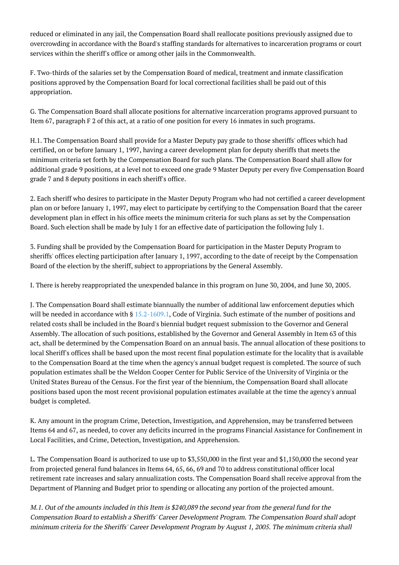reduced or eliminated in any jail, the Compensation Board shall reallocate positions previously assigned due to overcrowding in accordance with the Board's staffing standards for alternatives to incarceration programs or court services within the sheriff's office or among other jails in the Commonwealth.

F. Two-thirds of the salaries set by the Compensation Board of medical, treatment and inmate classification positions approved by the Compensation Board for local correctional facilities shall be paid out of this appropriation.

G. The Compensation Board shall allocate positions for alternative incarceration programs approved pursuant to Item 67, paragraph F 2 of this act, at a ratio of one position for every 16 inmates in such programs.

H.1. The Compensation Board shall provide for a Master Deputy pay grade to those sheriffs' offices which had certified, on or before January 1, 1997, having a career development plan for deputy sheriffs that meets the minimum criteria set forth by the Compensation Board for such plans. The Compensation Board shall allow for additional grade 9 positions, at a level not to exceed one grade 9 Master Deputy per every five Compensation Board grade 7 and 8 deputy positions in each sheriff's office.

2. Each sheriff who desires to participate in the Master Deputy Program who had not certified a career development plan on or before January 1, 1997, may elect to participate by certifying to the Compensation Board that the career development plan in effect in his office meets the minimum criteria for such plans as set by the Compensation Board. Such election shall be made by July 1 for an effective date of participation the following July 1.

3. Funding shall be provided by the Compensation Board for participation in the Master Deputy Program to sheriffs' offices electing participation after January 1, 1997, according to the date of receipt by the Compensation Board of the election by the sheriff, subject to appropriations by the General Assembly.

I. There is hereby reappropriated the unexpended balance in this program on June 30, 2004, and June 30, 2005.

J. The Compensation Board shall estimate biannually the number of additional law enforcement deputies which will be needed in accordance with § [15.2-1609.1](http://law.lis.virginia.gov/vacode/15.2-1609.1/), Code of Virginia. Such estimate of the number of positions and related costs shall be included in the Board's biennial budget request submission to the Governor and General Assembly. The allocation of such positions, established by the Governor and General Assembly in Item 63 of this act, shall be determined by the Compensation Board on an annual basis. The annual allocation of these positions to local Sheriff's offices shall be based upon the most recent final population estimate for the locality that is available to the Compensation Board at the time when the agency's annual budget request is completed. The source of such population estimates shall be the Weldon Cooper Center for Public Service of the University of Virginia or the United States Bureau of the Census. For the first year of the biennium, the Compensation Board shall allocate positions based upon the most recent provisional population estimates available at the time the agency's annual budget is completed.

K. Any amount in the program Crime, Detection, Investigation, and Apprehension, may be transferred between Items 64 and 67, as needed, to cover any deficits incurred in the programs Financial Assistance for Confinement in Local Facilities, and Crime, Detection, Investigation, and Apprehension.

L. The Compensation Board is authorized to use up to \$3,550,000 in the first year and \$1,150,000 the second year from projected general fund balances in Items 64, 65, 66, 69 and 70 to address constitutional officer local retirement rate increases and salary annualization costs. The Compensation Board shall receive approval from the Department of Planning and Budget prior to spending or allocating any portion of the projected amount.

M.1. Out of the amounts included in this Item is \$240,089 the second year from the general fund for the Compensation Board to establish a Sheriffs' Career Development Program. The Compensation Board shall adopt minimum criteria for the Sheriffs' Career Development Program by August 1, 2005. The minimum criteria shall